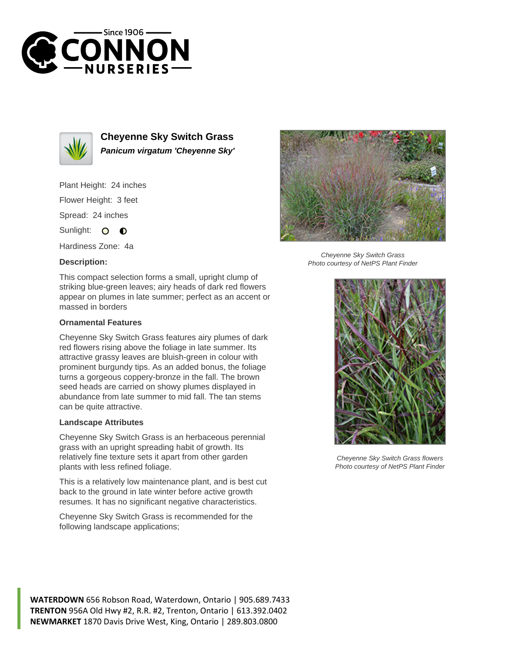



**Cheyenne Sky Switch Grass Panicum virgatum 'Cheyenne Sky'**

Plant Height: 24 inches Flower Height: 3 feet

Spread: 24 inches

Sunlight: 0 0

Hardiness Zone: 4a

## **Description:**



## **Ornamental Features**

Cheyenne Sky Switch Grass features airy plumes of dark red flowers rising above the foliage in late summer. Its attractive grassy leaves are bluish-green in colour with prominent burgundy tips. As an added bonus, the foliage turns a gorgeous coppery-bronze in the fall. The brown seed heads are carried on showy plumes displayed in abundance from late summer to mid fall. The tan stems can be quite attractive.

## **Landscape Attributes**

Cheyenne Sky Switch Grass is an herbaceous perennial grass with an upright spreading habit of growth. Its relatively fine texture sets it apart from other garden plants with less refined foliage.

This is a relatively low maintenance plant, and is best cut back to the ground in late winter before active growth resumes. It has no significant negative characteristics.

Cheyenne Sky Switch Grass is recommended for the following landscape applications;



Cheyenne Sky Switch Grass Photo courtesy of NetPS Plant Finder



Cheyenne Sky Switch Grass flowers Photo courtesy of NetPS Plant Finder

**WATERDOWN** 656 Robson Road, Waterdown, Ontario | 905.689.7433 **TRENTON** 956A Old Hwy #2, R.R. #2, Trenton, Ontario | 613.392.0402 **NEWMARKET** 1870 Davis Drive West, King, Ontario | 289.803.0800